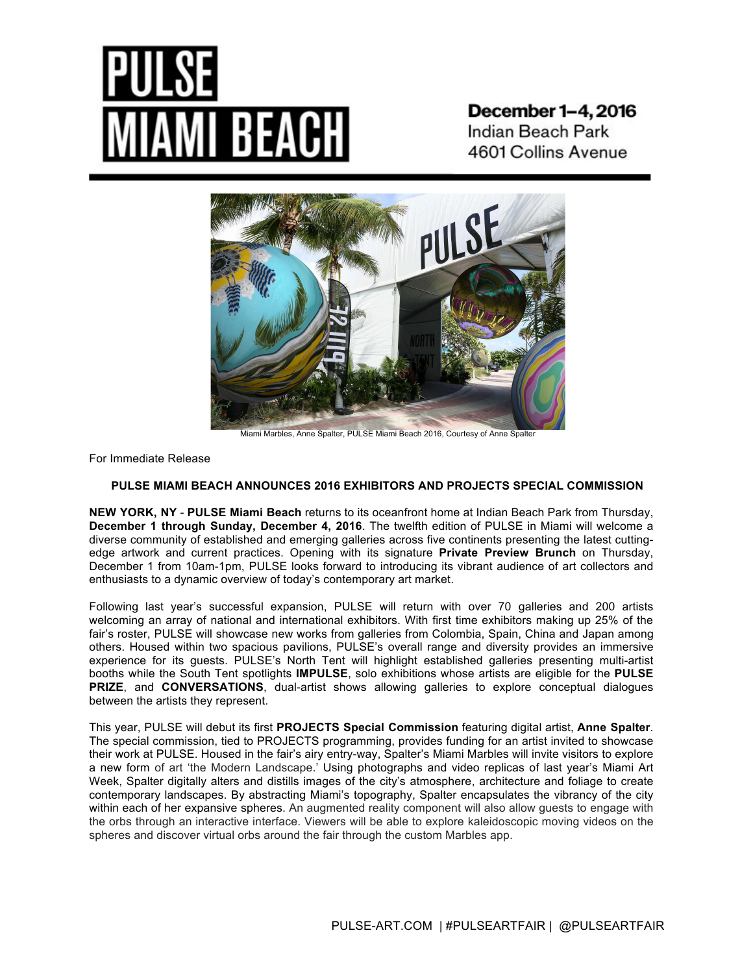**December 1–4, 2016** Indian Beach Park 4601 Collins Avenue



Miami Marbles, Anne Spalter, PULSE Miami Beach 2016, Courtesy of Anne Spalter

For Immediate Release

# **PULSE MIAMI BEACH ANNOUNCES 2016 EXHIBITORS AND PROJECTS SPECIAL COMMISSION**

**NEW YORK, NY** - **PULSE Miami Beach** returns to its oceanfront home at Indian Beach Park from Thursday, **December 1 through Sunday, December 4, 2016**. The twelfth edition of PULSE in Miami will welcome a diverse community of established and emerging galleries across five continents presenting the latest cuttingedge artwork and current practices. Opening with its signature **Private Preview Brunch** on Thursday, December 1 from 10am-1pm, PULSE looks forward to introducing its vibrant audience of art collectors and enthusiasts to a dynamic overview of today's contemporary art market.

Following last year's successful expansion, PULSE will return with over 70 galleries and 200 artists welcoming an array of national and international exhibitors. With first time exhibitors making up 25% of the fair's roster, PULSE will showcase new works from galleries from Colombia, Spain, China and Japan among others. Housed within two spacious pavilions, PULSE's overall range and diversity provides an immersive experience for its guests. PULSE's North Tent will highlight established galleries presenting multi-artist booths while the South Tent spotlights **IMPULSE**, solo exhibitions whose artists are eligible for the **PULSE PRIZE**, and **CONVERSATIONS**, dual-artist shows allowing galleries to explore conceptual dialogues between the artists they represent.

This year, PULSE will debut its first **PROJECTS Special Commission** featuring digital artist, **Anne Spalter**. The special commission, tied to PROJECTS programming, provides funding for an artist invited to showcase their work at PULSE. Housed in the fair's airy entry-way, Spalter's Miami Marbles will invite visitors to explore a new form of art 'the Modern Landscape.' Using photographs and video replicas of last year's Miami Art Week, Spalter digitally alters and distills images of the city's atmosphere, architecture and foliage to create contemporary landscapes. By abstracting Miami's topography, Spalter encapsulates the vibrancy of the city within each of her expansive spheres. An augmented reality component will also allow guests to engage with the orbs through an interactive interface. Viewers will be able to explore kaleidoscopic moving videos on the spheres and discover virtual orbs around the fair through the custom Marbles app.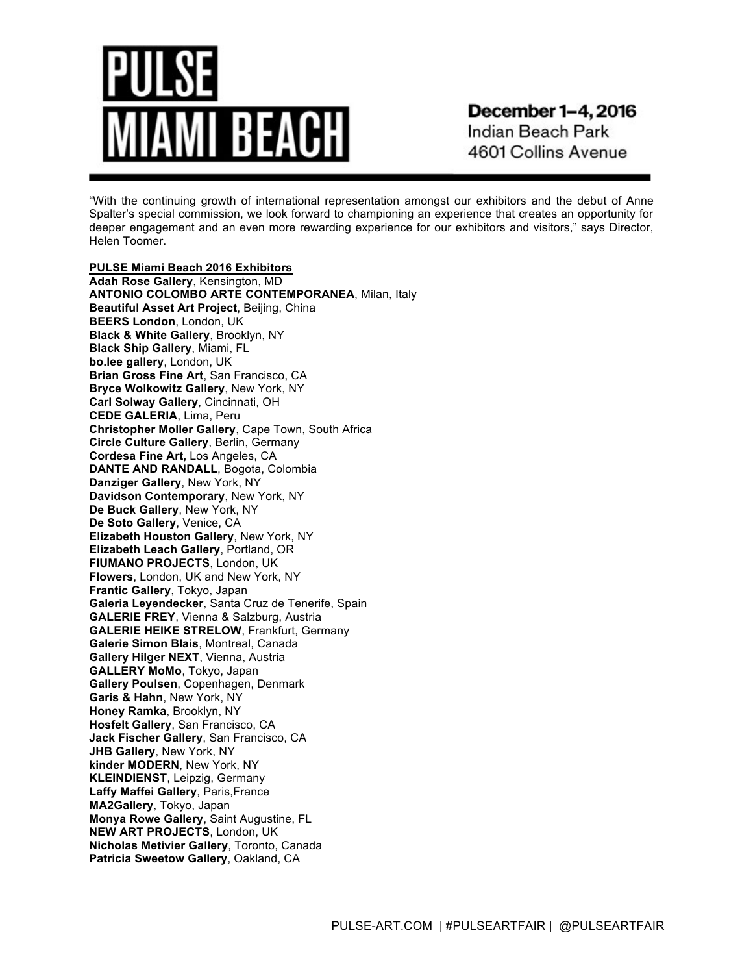# AI BEACH

**December 1–4, 2016** Indian Beach Park 4601 Collins Avenue

"With the continuing growth of international representation amongst our exhibitors and the debut of Anne Spalter's special commission, we look forward to championing an experience that creates an opportunity for deeper engagement and an even more rewarding experience for our exhibitors and visitors," says Director, Helen Toomer.

**PULSE Miami Beach 2016 Exhibitors Adah Rose Gallery**, Kensington, MD **ANTONIO COLOMBO ARTE CONTEMPORANEA**, Milan, Italy **Beautiful Asset Art Project**, Beijing, China **BEERS London**, London, UK **Black & White Gallery**, Brooklyn, NY **Black Ship Gallery**, Miami, FL **bo.lee gallery**, London, UK **Brian Gross Fine Art**, San Francisco, CA **Bryce Wolkowitz Gallery**, New York, NY **Carl Solway Gallery**, Cincinnati, OH **CEDE GALERIA**, Lima, Peru **Christopher Moller Gallery**, Cape Town, South Africa **Circle Culture Gallery**, Berlin, Germany **Cordesa Fine Art,** Los Angeles, CA **DANTE AND RANDALL**, Bogota, Colombia **Danziger Gallery**, New York, NY **Davidson Contemporary**, New York, NY **De Buck Gallery**, New York, NY **De Soto Gallery**, Venice, CA **Elizabeth Houston Gallery**, New York, NY **Elizabeth Leach Gallery**, Portland, OR **FIUMANO PROJECTS**, London, UK **Flowers**, London, UK and New York, NY **Frantic Gallery**, Tokyo, Japan **Galeria Leyendecker**, Santa Cruz de Tenerife, Spain **GALERIE FREY**, Vienna & Salzburg, Austria **GALERIE HEIKE STRELOW**, Frankfurt, Germany **Galerie Simon Blais**, Montreal, Canada **Gallery Hilger NEXT**, Vienna, Austria **GALLERY MoMo**, Tokyo, Japan **Gallery Poulsen**, Copenhagen, Denmark **Garis & Hahn**, New York, NY **Honey Ramka**, Brooklyn, NY **Hosfelt Gallery**, San Francisco, CA **Jack Fischer Gallery**, San Francisco, CA **JHB Gallery**, New York, NY **kinder MODERN**, New York, NY **KLEINDIENST**, Leipzig, Germany **Laffy Maffei Gallery**, Paris,France **MA2Gallery**, Tokyo, Japan **Monya Rowe Gallery**, Saint Augustine, FL **NEW ART PROJECTS**, London, UK **Nicholas Metivier Gallery**, Toronto, Canada **Patricia Sweetow Gallery**, Oakland, CA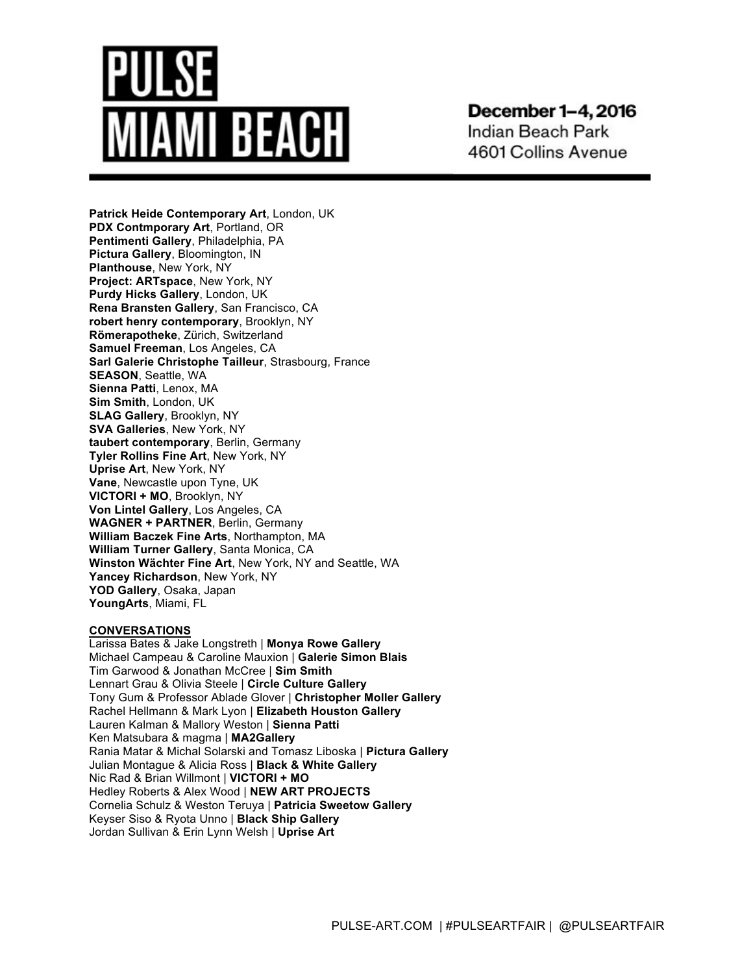# **MI BEACH**

**December 1–4, 2016** 

Indian Beach Park 4601 Collins Avenue

**Patrick Heide Contemporary Art**, London, UK **PDX Contmporary Art**, Portland, OR **Pentimenti Gallery**, Philadelphia, PA **Pictura Gallery**, Bloomington, IN **Planthouse**, New York, NY **Project: ARTspace**, New York, NY **Purdy Hicks Gallery**, London, UK **Rena Bransten Gallery**, San Francisco, CA **robert henry contemporary**, Brooklyn, NY **Römerapotheke**, Zürich, Switzerland **Samuel Freeman**, Los Angeles, CA **Sarl Galerie Christophe Tailleur**, Strasbourg, France **SEASON**, Seattle, WA **Sienna Patti**, Lenox, MA **Sim Smith**, London, UK **SLAG Gallery**, Brooklyn, NY **SVA Galleries**, New York, NY **taubert contemporary**, Berlin, Germany **Tyler Rollins Fine Art**, New York, NY **Uprise Art**, New York, NY **Vane**, Newcastle upon Tyne, UK **VICTORI + MO**, Brooklyn, NY **Von Lintel Gallery**, Los Angeles, CA **WAGNER + PARTNER**, Berlin, Germany **William Baczek Fine Arts**, Northampton, MA **William Turner Gallery**, Santa Monica, CA **Winston Wächter Fine Art**, New York, NY and Seattle, WA **Yancey Richardson**, New York, NY **YOD Gallery**, Osaka, Japan **YoungArts**, Miami, FL

# **CONVERSATIONS**

Larissa Bates & Jake Longstreth | **Monya Rowe Gallery** Michael Campeau & Caroline Mauxion | **Galerie Simon Blais** Tim Garwood & Jonathan McCree | **Sim Smith** Lennart Grau & Olivia Steele | **Circle Culture Gallery** Tony Gum & Professor Ablade Glover | **Christopher Moller Gallery** Rachel Hellmann & Mark Lyon | **Elizabeth Houston Gallery** Lauren Kalman & Mallory Weston | **Sienna Patti** Ken Matsubara & magma | **MA2Gallery**  Rania Matar & Michal Solarski and Tomasz Liboska | **Pictura Gallery** Julian Montague & Alicia Ross | **Black & White Gallery** Nic Rad & Brian Willmont | **VICTORI + MO** Hedley Roberts & Alex Wood | **NEW ART PROJECTS** Cornelia Schulz & Weston Teruya | **Patricia Sweetow Gallery** Keyser Siso & Ryota Unno | **Black Ship Gallery** Jordan Sullivan & Erin Lynn Welsh | **Uprise Art**